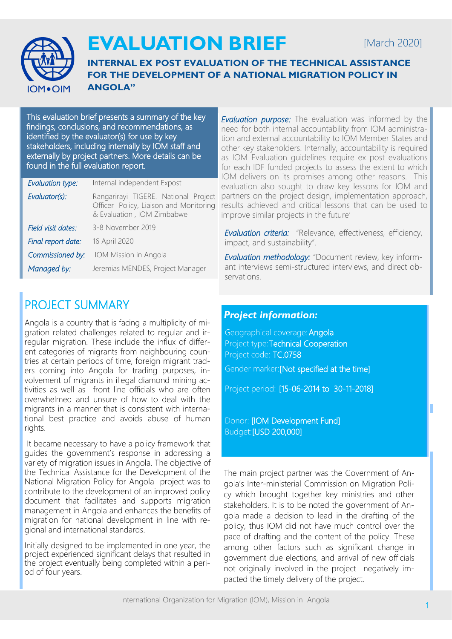

# **EVALUATION BRIEF**

## [March 2020]

**INTERNAL EX POST EVALUATION OF THE TECHNICAL ASSISTANCE FOR THE DEVELOPMENT OF A NATIONAL MIGRATION POLICY IN ANGOLA"**

This evaluation brief presents a summary of the key findings, conclusions, and recommendations, as identified by the evaluator(s) for use by key stakeholders, including internally by IOM staff and externally by project partners. More details can be found in the full evaluation report.

| <b>Evaluation type:</b> | Internal independent Expost                                                                                  |
|-------------------------|--------------------------------------------------------------------------------------------------------------|
| Evaluator(s):           | Rangarirayi TIGERE. National Project<br>Officer Policy, Liaison and Monitoring<br>& Evaluation, IOM Zimbabwe |
| Field visit dates:      | 3-8 November 2019                                                                                            |
| Final report date:      | 16 April 2020                                                                                                |
| Commissioned by:        | IOM Mission in Angola                                                                                        |
| Managed by:             | Jeremias MENDES, Project Manager                                                                             |

## PROJECT SUMMARY

Angola is a country that is facing a multiplicity of migration related challenges related to regular and irregular migration. These include the influx of different categories of migrants from neighbouring countries at certain periods of time, foreign migrant traders coming into Angola for trading purposes, involvement of migrants in illegal diamond mining activities as well as front line officials who are often overwhelmed and unsure of how to deal with the migrants in a manner that is consistent with international best practice and avoids abuse of human rights.

It became necessary to have a policy framework that guides the government's response in addressing a variety of migration issues in Angola. The objective of the Technical Assistance for the Development of the National Migration Policy for Angola project was to contribute to the development of an improved policy document that facilitates and supports migration management in Angola and enhances the benefits of migration for national development in line with regional and international standards.

Initially designed to be implemented in one year, the project experienced significant delays that resulted in the project eventually being completed within a period of four years.

**Evaluation purpose:** The evaluation was informed by the need for both internal accountability from IOM administration and external accountability to IOM Member States and other key stakeholders. Internally, accountability is required as IOM Evaluation guidelines require ex post evaluations for each IDF funded projects to assess the extent to which IOM delivers on its promises among other reasons. This evaluation also sought to draw key lessons for IOM and partners on the project design, implementation approach, results achieved and critical lessons that can be used to improve similar projects in the future'

*Evaluation criteria:* "Relevance, effectiveness, efficiency, impact, and sustainability".

*Evaluation methodology:* "Document review, key informant interviews semi-structured interviews, and direct observations.

### *Project information:*

Geographical coverage:Angola Project type:Technical Cooperation Project code: TC.0758 Gender marker:[Not specified at the time] Project period: [15-06-2014 to 30-11-2018]

Donor: [IOM Development Fund] Budget:[USD 200,000]

The main project partner was the Government of Angola's Inter-ministerial Commission on Migration Policy which brought together key ministries and other stakeholders. It is to be noted the government of Angola made a decision to lead in the drafting of the policy, thus IOM did not have much control over the pace of drafting and the content of the policy. These among other factors such as significant change in government due elections, and arrival of new officials not originally involved in the project negatively impacted the timely delivery of the project.